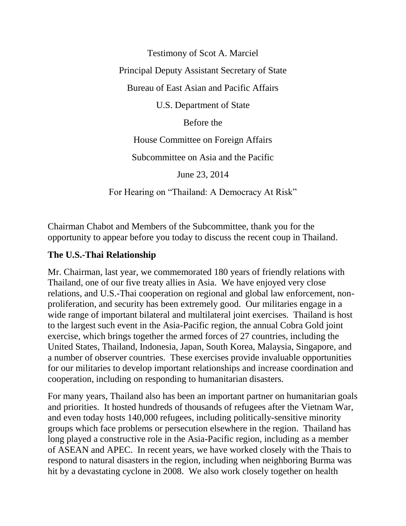Testimony of Scot A. Marciel

Principal Deputy Assistant Secretary of State

Bureau of East Asian and Pacific Affairs

U.S. Department of State

Before the

House Committee on Foreign Affairs

Subcommittee on Asia and the Pacific

June 23, 2014

For Hearing on "Thailand: A Democracy At Risk"

Chairman Chabot and Members of the Subcommittee, thank you for the opportunity to appear before you today to discuss the recent coup in Thailand.

## **The U.S.-Thai Relationship**

Mr. Chairman, last year, we commemorated 180 years of friendly relations with Thailand, one of our five treaty allies in Asia. We have enjoyed very close relations, and U.S.-Thai cooperation on regional and global law enforcement, nonproliferation, and security has been extremely good. Our militaries engage in a wide range of important bilateral and multilateral joint exercises. Thailand is host to the largest such event in the Asia-Pacific region, the annual Cobra Gold joint exercise, which brings together the armed forces of 27 countries, including the United States, Thailand, Indonesia, Japan, South Korea, Malaysia, Singapore, and a number of observer countries. These exercises provide invaluable opportunities for our militaries to develop important relationships and increase coordination and cooperation, including on responding to humanitarian disasters.

For many years, Thailand also has been an important partner on humanitarian goals and priorities. It hosted hundreds of thousands of refugees after the Vietnam War, and even today hosts 140,000 refugees, including politically-sensitive minority groups which face problems or persecution elsewhere in the region. Thailand has long played a constructive role in the Asia-Pacific region, including as a member of ASEAN and APEC. In recent years, we have worked closely with the Thais to respond to natural disasters in the region, including when neighboring Burma was hit by a devastating cyclone in 2008. We also work closely together on health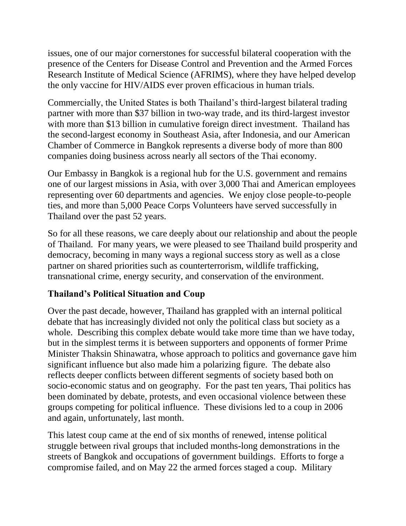issues, one of our major cornerstones for successful bilateral cooperation with the presence of the Centers for Disease Control and Prevention and the Armed Forces Research Institute of Medical Science (AFRIMS), where they have helped develop the only vaccine for HIV/AIDS ever proven efficacious in human trials.

Commercially, the United States is both Thailand's third-largest bilateral trading partner with more than \$37 billion in two-way trade, and its third-largest investor with more than \$13 billion in cumulative foreign direct investment. Thailand has the second-largest economy in Southeast Asia, after Indonesia, and our American Chamber of Commerce in Bangkok represents a diverse body of more than 800 companies doing business across nearly all sectors of the Thai economy.

Our Embassy in Bangkok is a regional hub for the U.S. government and remains one of our largest missions in Asia, with over 3,000 Thai and American employees representing over 60 departments and agencies. We enjoy close people-to-people ties, and more than 5,000 Peace Corps Volunteers have served successfully in Thailand over the past 52 years.

So for all these reasons, we care deeply about our relationship and about the people of Thailand. For many years, we were pleased to see Thailand build prosperity and democracy, becoming in many ways a regional success story as well as a close partner on shared priorities such as counterterrorism, wildlife trafficking, transnational crime, energy security, and conservation of the environment.

## **Thailand's Political Situation and Coup**

Over the past decade, however, Thailand has grappled with an internal political debate that has increasingly divided not only the political class but society as a whole. Describing this complex debate would take more time than we have today, but in the simplest terms it is between supporters and opponents of former Prime Minister Thaksin Shinawatra, whose approach to politics and governance gave him significant influence but also made him a polarizing figure. The debate also reflects deeper conflicts between different segments of society based both on socio-economic status and on geography. For the past ten years, Thai politics has been dominated by debate, protests, and even occasional violence between these groups competing for political influence. These divisions led to a coup in 2006 and again, unfortunately, last month.

This latest coup came at the end of six months of renewed, intense political struggle between rival groups that included months-long demonstrations in the streets of Bangkok and occupations of government buildings. Efforts to forge a compromise failed, and on May 22 the armed forces staged a coup. Military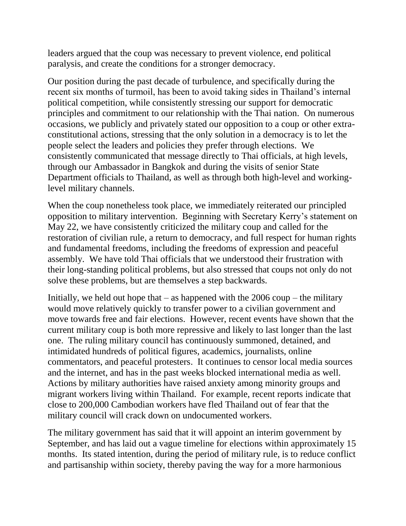leaders argued that the coup was necessary to prevent violence, end political paralysis, and create the conditions for a stronger democracy.

Our position during the past decade of turbulence, and specifically during the recent six months of turmoil, has been to avoid taking sides in Thailand's internal political competition, while consistently stressing our support for democratic principles and commitment to our relationship with the Thai nation. On numerous occasions, we publicly and privately stated our opposition to a coup or other extraconstitutional actions, stressing that the only solution in a democracy is to let the people select the leaders and policies they prefer through elections. We consistently communicated that message directly to Thai officials, at high levels, through our Ambassador in Bangkok and during the visits of senior State Department officials to Thailand, as well as through both high-level and workinglevel military channels.

When the coup nonetheless took place, we immediately reiterated our principled opposition to military intervention. Beginning with Secretary Kerry's statement on May 22, we have consistently criticized the military coup and called for the restoration of civilian rule, a return to democracy, and full respect for human rights and fundamental freedoms, including the freedoms of expression and peaceful assembly. We have told Thai officials that we understood their frustration with their long-standing political problems, but also stressed that coups not only do not solve these problems, but are themselves a step backwards.

Initially, we held out hope that  $-$  as happened with the 2006 coup  $-$  the military would move relatively quickly to transfer power to a civilian government and move towards free and fair elections. However, recent events have shown that the current military coup is both more repressive and likely to last longer than the last one. The ruling military council has continuously summoned, detained, and intimidated hundreds of political figures, academics, journalists, online commentators, and peaceful protesters. It continues to censor local media sources and the internet, and has in the past weeks blocked international media as well. Actions by military authorities have raised anxiety among minority groups and migrant workers living within Thailand. For example, recent reports indicate that close to 200,000 Cambodian workers have fled Thailand out of fear that the military council will crack down on undocumented workers.

The military government has said that it will appoint an interim government by September, and has laid out a vague timeline for elections within approximately 15 months. Its stated intention, during the period of military rule, is to reduce conflict and partisanship within society, thereby paving the way for a more harmonious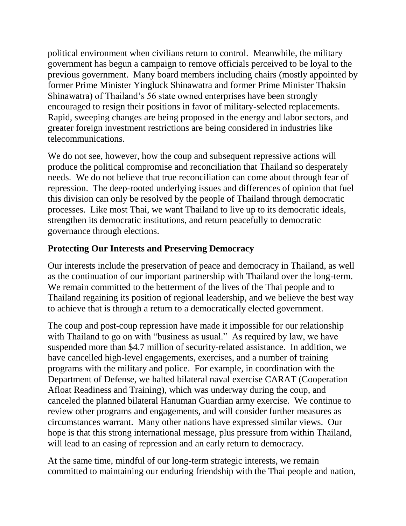political environment when civilians return to control. Meanwhile, the military government has begun a campaign to remove officials perceived to be loyal to the previous government. Many board members including chairs (mostly appointed by former Prime Minister Yingluck Shinawatra and former Prime Minister Thaksin Shinawatra) of Thailand's 56 state owned enterprises have been strongly encouraged to resign their positions in favor of military-selected replacements. Rapid, sweeping changes are being proposed in the energy and labor sectors, and greater foreign investment restrictions are being considered in industries like telecommunications.

We do not see, however, how the coup and subsequent repressive actions will produce the political compromise and reconciliation that Thailand so desperately needs. We do not believe that true reconciliation can come about through fear of repression. The deep-rooted underlying issues and differences of opinion that fuel this division can only be resolved by the people of Thailand through democratic processes. Like most Thai, we want Thailand to live up to its democratic ideals, strengthen its democratic institutions, and return peacefully to democratic governance through elections.

## **Protecting Our Interests and Preserving Democracy**

Our interests include the preservation of peace and democracy in Thailand, as well as the continuation of our important partnership with Thailand over the long-term. We remain committed to the betterment of the lives of the Thai people and to Thailand regaining its position of regional leadership, and we believe the best way to achieve that is through a return to a democratically elected government.

The coup and post-coup repression have made it impossible for our relationship with Thailand to go on with "business as usual." As required by law, we have suspended more than \$4.7 million of security-related assistance. In addition, we have cancelled high-level engagements, exercises, and a number of training programs with the military and police. For example, in coordination with the Department of Defense, we halted bilateral naval exercise CARAT (Cooperation Afloat Readiness and Training), which was underway during the coup, and canceled the planned bilateral Hanuman Guardian army exercise. We continue to review other programs and engagements, and will consider further measures as circumstances warrant. Many other nations have expressed similar views. Our hope is that this strong international message, plus pressure from within Thailand, will lead to an easing of repression and an early return to democracy.

At the same time, mindful of our long-term strategic interests, we remain committed to maintaining our enduring friendship with the Thai people and nation,